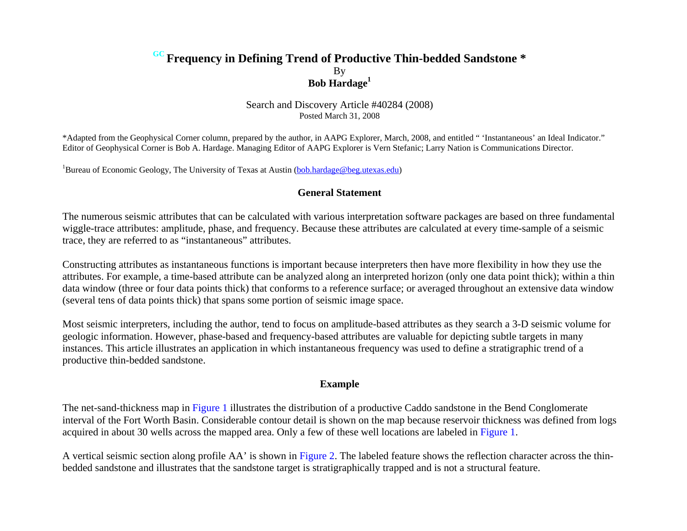## **GC Frequency in Defining Trend of Productive Thin-bedded Sandstone \***  By **Bob Hardage<sup>1</sup>**

Search and Discovery Article #40284 (2008) Posted March 31, 2008

\*Adapted from the Geophysical Corner column, prepared by the author, in AAPG Explorer, March, 2008, and entitled " 'Instantaneous' an Ideal Indicator." Editor of Geophysical Corner is Bob A. Hardage. Managing Editor of AAPG Explorer is Vern Stefanic; Larry Nation is Communications Director.

<sup>1</sup>Bureau of Economic Geology, The University of Texas at Austin (bob.hardage@beg.utexas.edu)

## **General Statement**

The numerous seismic attributes that can be calculated with various interpretation software packages are based on three fundamental wiggle-trace attributes: amplitude, phase, and frequency. Because these attributes are calculated at every time-sample of a seismic trace, they are referred to as "instantaneous" attributes.

Constructing attributes as instantaneous functions is important because interpreters then have more flexibility in how they use the attributes. For example, a time-based attribute can be analyzed along an interpreted horizon (only one data point thick); within a thin data window (three or four data points thick) that conforms to a reference surface; or averaged throughout an extensive data window (several tens of data points thick) that spans some portion of seismic image space.

Most seismic interpreters, including the author, tend to focus on amplitude-based attributes as they search a 3-D seismic volume for geologic information. However, phase-based and frequency-based attributes are valuable for depicting subtle targets in many instances. This article illustrates an application in which instantaneous frequency was used to define a stratigraphic trend of a productive thin-bedded sandstone.

## **Example**

The net-sand-thickness map i[n Figure 1](#page-2-0) illustrates the distribution of a productive Caddo sandstone in the Bend Conglomerate interval of the Fort Worth Basin. Considerable contour detail is shown on the map because reservoir thickness was defined from logs acquired in about 30 wells across the mapped area. Only a few of these well locations are labeled in [Figure 1](#page-2-0).

A vertical seismic section along profile AA' is shown in [Figure 2.](#page-3-0) The labeled feature shows the reflection character across the thinbedded sandstone and illustrates that the sandstone target is stratigraphically trapped and is not a structural feature.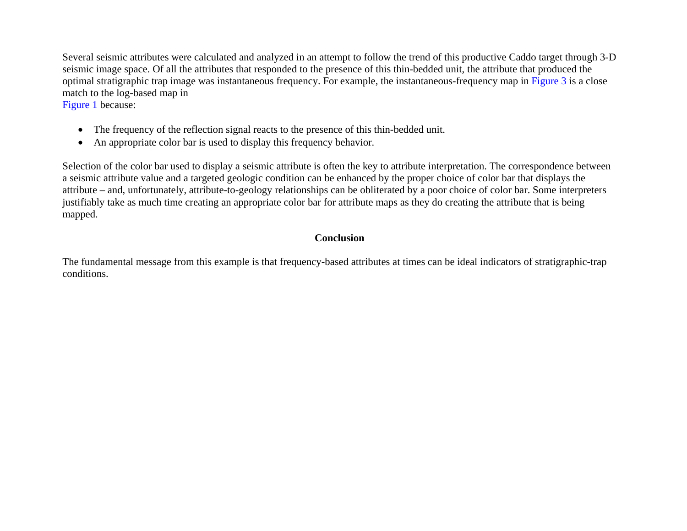Several seismic attributes were calculated and analyzed in an attempt to follow the trend of this productive Caddo target through 3-D seismic image space. Of all the attributes that responded to the presence of this thin-bedded unit, the attribute that produced the optimal stratigraphic trap image was instantaneous frequency. For example, the instantaneous-frequency map in [Figure 3](#page-4-0) is a close match to the log-based map in

[Figure 1](#page-2-0) because:

- The frequency of the reflection signal reacts to the presence of this thin-bedded unit.
- $\bullet$ An appropriate color bar is used to display this frequency behavior.

Selection of the color bar used to display a seismic attribute is often the key to attribute interpretation. The correspondence between a seismic attribute value and a targeted geologic condition can be enhanced by the proper choice of color bar that displays the attribute – and, unfortunately, attribute-to-geology relationships can be obliterated by a poor choice of color bar. Some interpreters justifiably take as much time creating an appropriate color bar for attribute maps as they do creating the attribute that is being mapped.

## **Conclusion**

The fundamental message from this example is that frequency-based attributes at times can be ideal indicators of stratigraphic-trap conditions.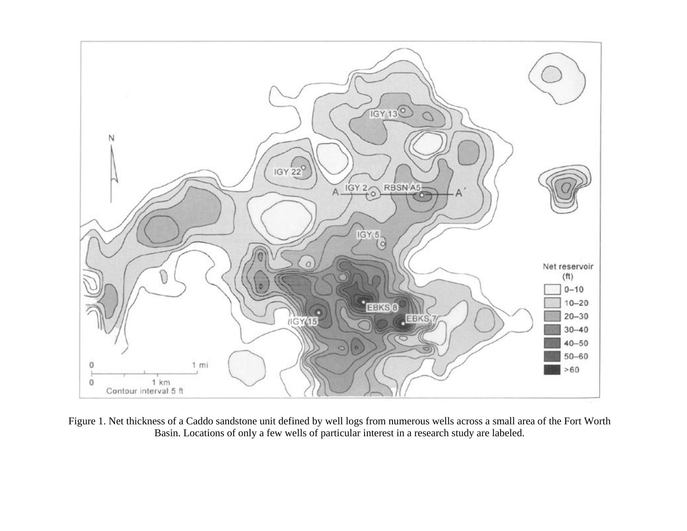<span id="page-2-0"></span>

Figure 1. Net thickness of a Caddo sandstone unit defined by well logs from numerous wells across a small area of the Fort Worth Basin. Locations of only a few wells of particular interest in a research study are labeled.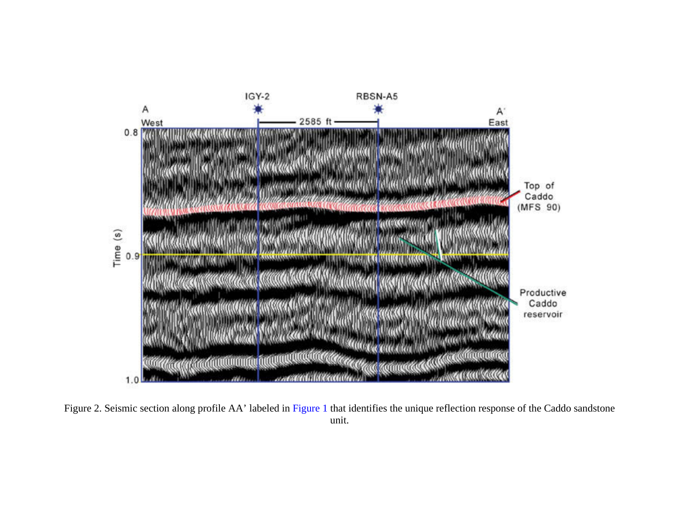<span id="page-3-0"></span>

Figure 2. Seismic section along profile AA' labeled i[n Figure 1](#page-2-0) that identifies the unique reflection response of the Caddo sandstone unit.